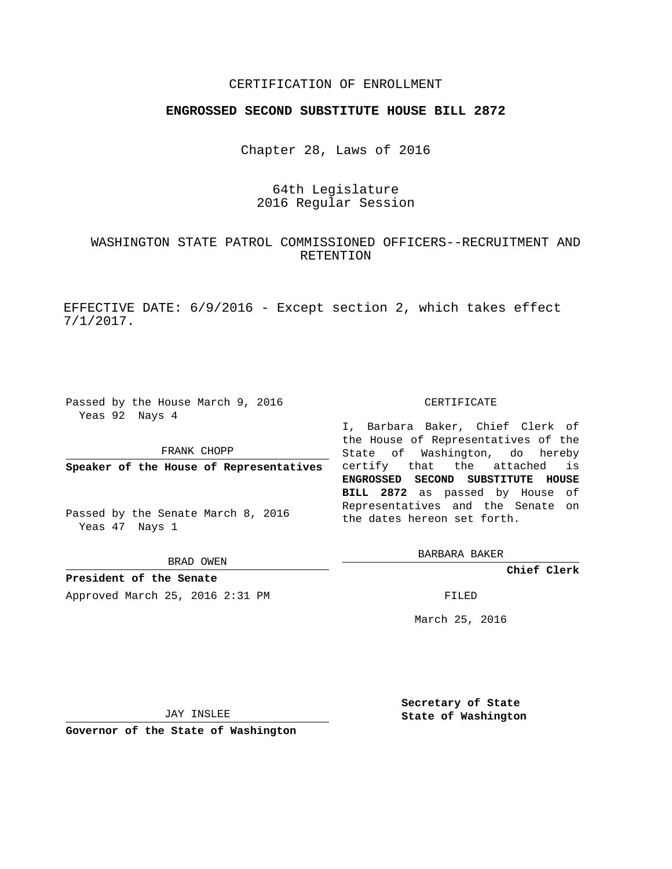## CERTIFICATION OF ENROLLMENT

## **ENGROSSED SECOND SUBSTITUTE HOUSE BILL 2872**

Chapter 28, Laws of 2016

# 64th Legislature 2016 Regular Session

## WASHINGTON STATE PATROL COMMISSIONED OFFICERS--RECRUITMENT AND RETENTION

EFFECTIVE DATE: 6/9/2016 - Except section 2, which takes effect 7/1/2017.

Passed by the House March 9, 2016 Yeas 92 Nays 4

FRANK CHOPP

**Speaker of the House of Representatives**

Passed by the Senate March 8, 2016 Yeas 47 Nays 1

BRAD OWEN

**President of the Senate** Approved March 25, 2016 2:31 PM FILED

#### CERTIFICATE

I, Barbara Baker, Chief Clerk of the House of Representatives of the State of Washington, do hereby certify that the attached is **ENGROSSED SECOND SUBSTITUTE HOUSE BILL 2872** as passed by House of Representatives and the Senate on the dates hereon set forth.

BARBARA BAKER

**Chief Clerk**

March 25, 2016

JAY INSLEE

**Governor of the State of Washington**

**Secretary of State State of Washington**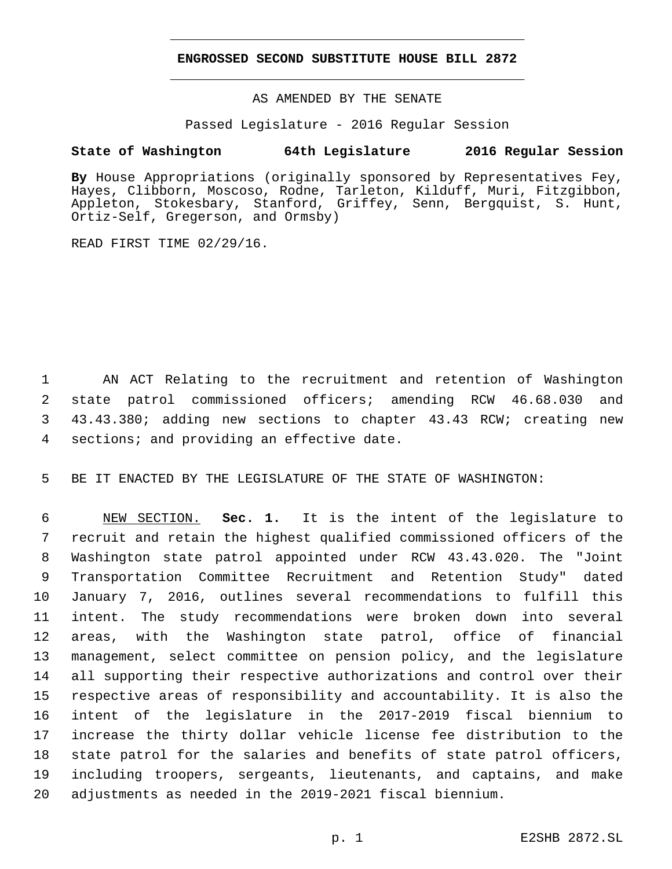## **ENGROSSED SECOND SUBSTITUTE HOUSE BILL 2872**

AS AMENDED BY THE SENATE

Passed Legislature - 2016 Regular Session

## **State of Washington 64th Legislature 2016 Regular Session**

**By** House Appropriations (originally sponsored by Representatives Fey, Hayes, Clibborn, Moscoso, Rodne, Tarleton, Kilduff, Muri, Fitzgibbon, Appleton, Stokesbary, Stanford, Griffey, Senn, Bergquist, S. Hunt, Ortiz-Self, Gregerson, and Ormsby)

READ FIRST TIME 02/29/16.

 AN ACT Relating to the recruitment and retention of Washington state patrol commissioned officers; amending RCW 46.68.030 and 43.43.380; adding new sections to chapter 43.43 RCW; creating new 4 sections; and providing an effective date.

BE IT ENACTED BY THE LEGISLATURE OF THE STATE OF WASHINGTON:

 NEW SECTION. **Sec. 1.** It is the intent of the legislature to recruit and retain the highest qualified commissioned officers of the Washington state patrol appointed under RCW 43.43.020. The "Joint Transportation Committee Recruitment and Retention Study" dated January 7, 2016, outlines several recommendations to fulfill this intent. The study recommendations were broken down into several areas, with the Washington state patrol, office of financial management, select committee on pension policy, and the legislature all supporting their respective authorizations and control over their respective areas of responsibility and accountability. It is also the intent of the legislature in the 2017-2019 fiscal biennium to increase the thirty dollar vehicle license fee distribution to the state patrol for the salaries and benefits of state patrol officers, including troopers, sergeants, lieutenants, and captains, and make adjustments as needed in the 2019-2021 fiscal biennium.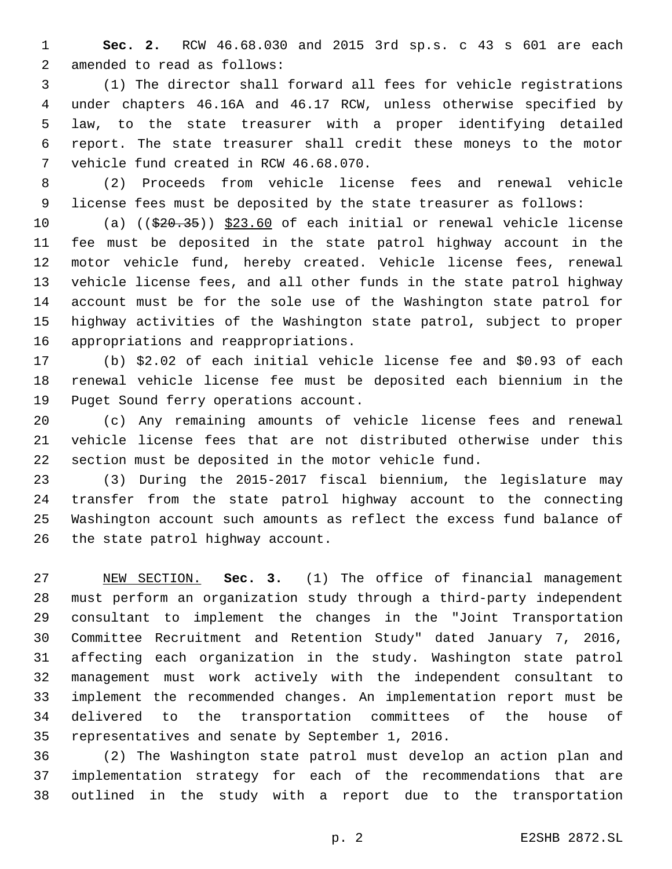**Sec. 2.** RCW 46.68.030 and 2015 3rd sp.s. c 43 s 601 are each 2 amended to read as follows:

 (1) The director shall forward all fees for vehicle registrations under chapters 46.16A and 46.17 RCW, unless otherwise specified by law, to the state treasurer with a proper identifying detailed report. The state treasurer shall credit these moneys to the motor 7 vehicle fund created in RCW 46.68.070.

 (2) Proceeds from vehicle license fees and renewal vehicle license fees must be deposited by the state treasurer as follows:

10 (a) ((\$20.35)) \$23.60 of each initial or renewal vehicle license fee must be deposited in the state patrol highway account in the motor vehicle fund, hereby created. Vehicle license fees, renewal vehicle license fees, and all other funds in the state patrol highway account must be for the sole use of the Washington state patrol for highway activities of the Washington state patrol, subject to proper 16 appropriations and reappropriations.

 (b) \$2.02 of each initial vehicle license fee and \$0.93 of each renewal vehicle license fee must be deposited each biennium in the 19 Puget Sound ferry operations account.

 (c) Any remaining amounts of vehicle license fees and renewal vehicle license fees that are not distributed otherwise under this section must be deposited in the motor vehicle fund.

 (3) During the 2015-2017 fiscal biennium, the legislature may transfer from the state patrol highway account to the connecting Washington account such amounts as reflect the excess fund balance of 26 the state patrol highway account.

 NEW SECTION. **Sec. 3.** (1) The office of financial management must perform an organization study through a third-party independent consultant to implement the changes in the "Joint Transportation Committee Recruitment and Retention Study" dated January 7, 2016, affecting each organization in the study. Washington state patrol management must work actively with the independent consultant to implement the recommended changes. An implementation report must be delivered to the transportation committees of the house of representatives and senate by September 1, 2016.

 (2) The Washington state patrol must develop an action plan and implementation strategy for each of the recommendations that are outlined in the study with a report due to the transportation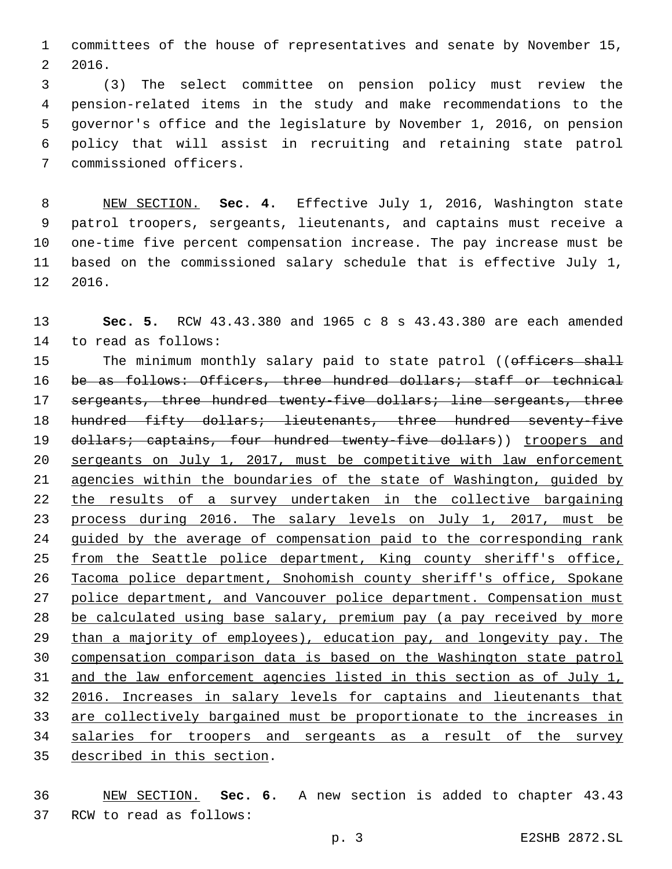committees of the house of representatives and senate by November 15, 2016. 2

 (3) The select committee on pension policy must review the pension-related items in the study and make recommendations to the governor's office and the legislature by November 1, 2016, on pension policy that will assist in recruiting and retaining state patrol 7 commissioned officers.

 NEW SECTION. **Sec. 4.** Effective July 1, 2016, Washington state patrol troopers, sergeants, lieutenants, and captains must receive a one-time five percent compensation increase. The pay increase must be based on the commissioned salary schedule that is effective July 1, 2016.

 **Sec. 5.** RCW 43.43.380 and 1965 c 8 s 43.43.380 are each amended 14 to read as follows: 15 The minimum monthly salary paid to state patrol ((officers shall 16 be as follows: Officers, three hundred dollars; staff or technical sergeants, three hundred twenty-five dollars; line sergeants, three 18 hundred fifty dollars; lieutenants, three hundred seventy-five

19 dollars; captains, four hundred twenty-five dollars)) troopers and sergeants on July 1, 2017, must be competitive with law enforcement agencies within the boundaries of the state of Washington, guided by the results of a survey undertaken in the collective bargaining process during 2016. The salary levels on July 1, 2017, must be guided by the average of compensation paid to the corresponding rank 25 from the Seattle police department, King county sheriff's office, Tacoma police department, Snohomish county sheriff's office, Spokane police department, and Vancouver police department. Compensation must 28 be calculated using base salary, premium pay (a pay received by more than a majority of employees), education pay, and longevity pay. The compensation comparison data is based on the Washington state patrol and the law enforcement agencies listed in this section as of July 1, 2016. Increases in salary levels for captains and lieutenants that are collectively bargained must be proportionate to the increases in salaries for troopers and sergeants as a result of the survey 35 described in this section.

 NEW SECTION. **Sec. 6.** A new section is added to chapter 43.43 37 RCW to read as follows: